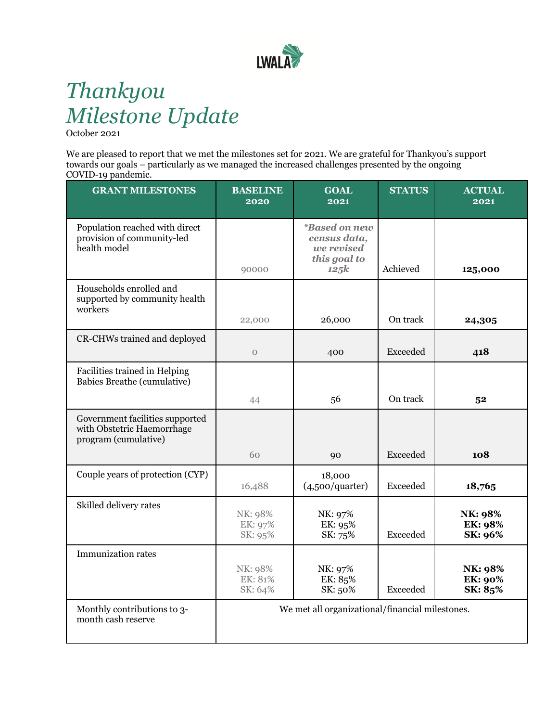

# *Thankyou Milestone Update*

October 2021

We are pleased to report that we met the milestones set for 2021. We are grateful for Thankyou's support towards our goals – particularly as we managed the increased challenges presented by the ongoing COVID-19 pandemic.

| <b>GRANT MILESTONES</b>                                                               | <b>BASELINE</b><br>2020       | <b>GOAL</b><br>2021                                                               | <b>STATUS</b>   | <b>ACTUAL</b><br>2021                |
|---------------------------------------------------------------------------------------|-------------------------------|-----------------------------------------------------------------------------------|-----------------|--------------------------------------|
| Population reached with direct<br>provision of community-led<br>health model          | 90000                         | <i><b>*Based on new</b></i><br>census data,<br>we revised<br>this goal to<br>125k | Achieved        | 125,000                              |
| Households enrolled and<br>supported by community health<br>workers                   | 22,000                        | 26,000                                                                            | On track        | 24,305                               |
| CR-CHWs trained and deployed                                                          | $\mathcal{O}$                 | 400                                                                               | Exceeded        | 418                                  |
| Facilities trained in Helping<br>Babies Breathe (cumulative)                          | 44                            | 56                                                                                | On track        | 5 <sup>2</sup>                       |
| Government facilities supported<br>with Obstetric Haemorrhage<br>program (cumulative) |                               |                                                                                   |                 |                                      |
|                                                                                       | 60                            | 90                                                                                | Exceeded        | 108                                  |
| Couple years of protection (CYP)                                                      | 16,488                        | 18,000<br>(4,500/quarter)                                                         | <b>Exceeded</b> | 18,765                               |
| Skilled delivery rates                                                                | NK: 98%<br>EK: 97%<br>SK: 95% | NK: 97%<br>EK: 95%<br>SK: 75%                                                     | <b>Exceeded</b> | NK: 98%<br>EK: 98%<br>SK: 96%        |
| <b>Immunization rates</b>                                                             | NK: 98%<br>EK: 81%<br>SK: 64% | NK: 97%<br>EK: 85%<br>SK: 50%                                                     | <b>Exceeded</b> | NK: 98%<br><b>EK: 90%</b><br>SK: 85% |
| Monthly contributions to 3-<br>month cash reserve                                     |                               | We met all organizational/financial milestones.                                   |                 |                                      |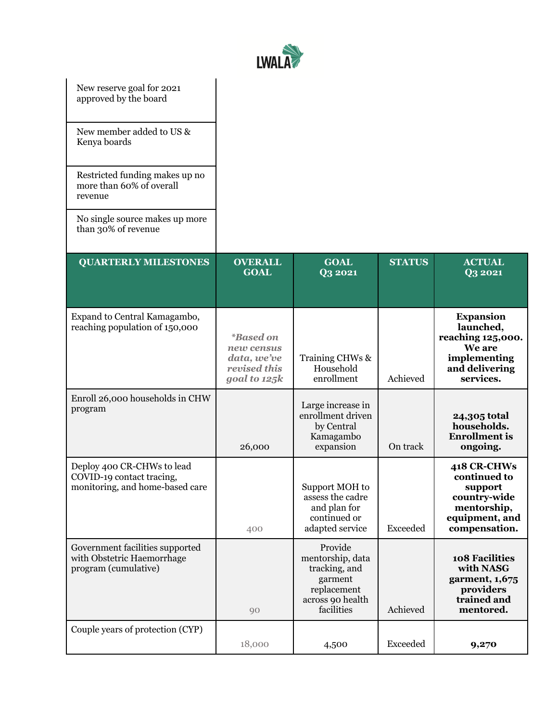

| New reserve goal for 2021<br>approved by the board<br>New member added to US &<br>Kenya boards<br>Restricted funding makes up no<br>more than 60% of overall<br>revenue |                                                                                      |                                                                                                          |               |                                                                                                             |
|-------------------------------------------------------------------------------------------------------------------------------------------------------------------------|--------------------------------------------------------------------------------------|----------------------------------------------------------------------------------------------------------|---------------|-------------------------------------------------------------------------------------------------------------|
| No single source makes up more<br>than 30% of revenue                                                                                                                   |                                                                                      |                                                                                                          |               |                                                                                                             |
| <b>QUARTERLY MILESTONES</b>                                                                                                                                             | <b>OVERALL</b><br><b>GOAL</b>                                                        | <b>GOAL</b><br><b>Q3 2021</b>                                                                            | <b>STATUS</b> | <b>ACTUAL</b><br>Q3 2021                                                                                    |
| Expand to Central Kamagambo,<br>reaching population of 150,000                                                                                                          | <i><b>*Based on</b></i><br>new census<br>data, we've<br>revised this<br>goal to 125k | Training CHWs &<br>Household<br>enrollment                                                               | Achieved      | <b>Expansion</b><br>launched,<br>reaching 125,000.<br>We are<br>implementing<br>and delivering<br>services. |
| Enroll 26,000 households in CHW<br>program                                                                                                                              | 26,000                                                                               | Large increase in<br>enrollment driven<br>by Central<br>Kamagambo<br>expansion                           | On track      | 24,305 total<br>households.<br><b>Enrollment</b> is<br>ongoing.                                             |
| Deploy 400 CR-CHWs to lead<br>COVID-19 contact tracing,<br>monitoring, and home-based care                                                                              | 400                                                                                  | Support MOH to<br>assess the cadre<br>and plan for<br>continued or<br>adapted service                    | Exceeded      | 418 CR-CHWs<br>continued to<br>support<br>country-wide<br>mentorship,<br>equipment, and<br>compensation.    |
| Government facilities supported<br>with Obstetric Haemorrhage<br>program (cumulative)                                                                                   | 90                                                                                   | Provide<br>mentorship, data<br>tracking, and<br>garment<br>replacement<br>across 90 health<br>facilities | Achieved      | 108 Facilities<br>with NASG<br>garment, 1,675<br>providers<br>trained and<br>mentored.                      |
| Couple years of protection (CYP)                                                                                                                                        | 18,000                                                                               | 4,500                                                                                                    | Exceeded      | 9,270                                                                                                       |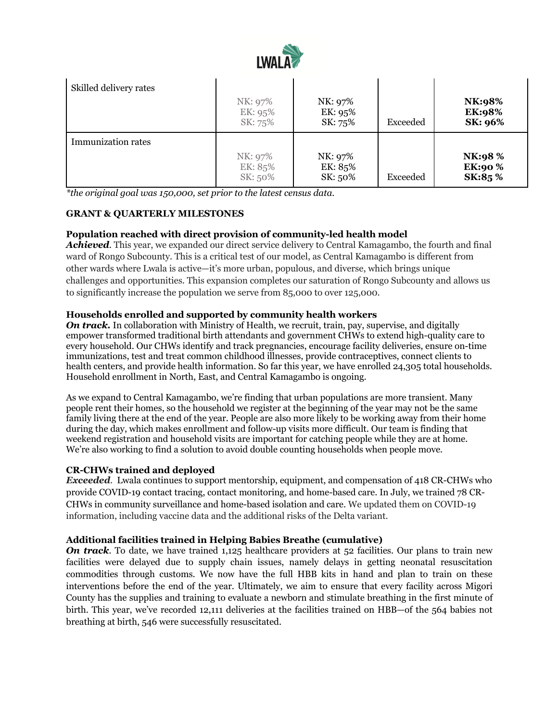

| Skilled delivery rates    | NK: 97%<br>EK: 95%<br>SK: 75% | NK: 97%<br>EK: 95%<br>SK: 75% | Exceeded | NK:98%<br><b>EK:98%</b><br><b>SK: 96%</b> |
|---------------------------|-------------------------------|-------------------------------|----------|-------------------------------------------|
| <b>Immunization rates</b> | NK: 97%<br>EK: 85%<br>SK: 50% | NK: 97%<br>EK: 85%<br>SK: 50% | Exceeded | NK:98 %<br><b>EK:90%</b><br>SK:85 %       |

*\*the original goal was 150,000, set prior to the latest census data.*

## **GRANT & QUARTERLY MILESTONES**

## **Population reached with direct provision of community-led health model**

*Achieved*. This year, we expanded our direct service delivery to Central Kamagambo, the fourth and final ward of Rongo Subcounty. This is a critical test of our model, as Central Kamagambo is different from other wards where Lwala is active—it's more urban, populous, and diverse, which brings unique challenges and opportunities. This expansion completes our saturation of Rongo Subcounty and allows us to significantly increase the population we serve from 85,000 to over 125,000.

### **Households enrolled and supported by community health workers**

*On track.* In collaboration with Ministry of Health, we recruit, train, pay, supervise, and digitally empower transformed traditional birth attendants and government CHWs to extend high-quality care to every household. Our CHWs identify and track pregnancies, encourage facility deliveries, ensure on-time immunizations, test and treat common childhood illnesses, provide contraceptives, connect clients to health centers, and provide health information. So far this year, we have enrolled 24,305 total households. Household enrollment in North, East, and Central Kamagambo is ongoing.

As we expand to Central Kamagambo, we're finding that urban populations are more transient. Many people rent their homes, so the household we register at the beginning of the year may not be the same family living there at the end of the year. People are also more likely to be working away from their home during the day, which makes enrollment and follow-up visits more difficult. Our team is finding that weekend registration and household visits are important for catching people while they are at home. We're also working to find a solution to avoid double counting households when people move.

### **CR-CHWs trained and deployed**

*Exceeded*. Lwala continues to support mentorship, equipment, and compensation of 418 CR-CHWs who provide COVID-19 contact tracing, contact monitoring, and home-based care. In July, we trained 78 CR-CHWs in community surveillance and home-based isolation and care. We updated them on COVID-19 information, including vaccine data and the additional risks of the Delta variant.

### **Additional facilities trained in Helping Babies Breathe (cumulative)**

*On track*. To date, we have trained 1,125 healthcare providers at 52 facilities. Our plans to train new facilities were delayed due to supply chain issues, namely delays in getting neonatal resuscitation commodities through customs. We now have the full HBB kits in hand and plan to train on these interventions before the end of the year. Ultimately, we aim to ensure that every facility across Migori County has the supplies and training to evaluate a newborn and stimulate breathing in the first minute of birth. This year, we've recorded 12,111 deliveries at the facilities trained on HBB—of the 564 babies not breathing at birth, 546 were successfully resuscitated.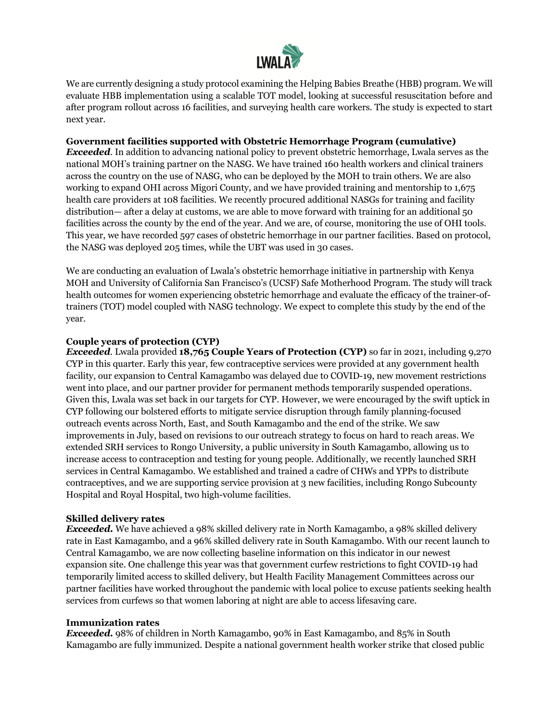

We are currently designing a study protocol examining the Helping Babies Breathe (HBB) program. We will evaluate HBB implementation using a scalable TOT model, looking at successful resuscitation before and after program rollout across 16 facilities, and surveying health care workers. The study is expected to start next year.

## **Government facilities supported with Obstetric Hemorrhage Program (cumulative)**

*Exceeded*. In addition to advancing national policy to prevent obstetric hemorrhage, Lwala serves as the national MOH's training partner on the NASG. We have trained 160 health workers and clinical trainers across the country on the use of NASG, who can be deployed by the MOH to train others. We are also working to expand OHI across Migori County, and we have provided training and mentorship to 1,675 health care providers at 108 facilities. We recently procured additional NASGs for training and facility distribution— after a delay at customs, we are able to move forward with training for an additional 50 facilities across the county by the end of the year. And we are, of course, monitoring the use of OHI tools. This year, we have recorded 597 cases of obstetric hemorrhage in our partner facilities. Based on protocol, the NASG was deployed 205 times, while the UBT was used in 30 cases.

We are conducting an evaluation of Lwala's obstetric hemorrhage initiative in partnership with Kenya MOH and University of California San Francisco's (UCSF) Safe Motherhood Program. The study will track health outcomes for women experiencing obstetric hemorrhage and evaluate the efficacy of the trainer-oftrainers (TOT) model coupled with NASG technology. We expect to complete this study by the end of the year.

## **Couple years of protection (CYP)**

*Exceeded.* Lwala provided **18,765 Couple Years of Protection (CYP)** so far in 2021, including 9,270 CYP in this quarter. Early this year, few contraceptive services were provided at any government health facility, our expansion to Central Kamagambo was delayed due to COVID-19, new movement restrictions went into place, and our partner provider for permanent methods temporarily suspended operations. Given this, Lwala was set back in our targets for CYP. However, we were encouraged by the swift uptick in CYP following our bolstered efforts to mitigate service disruption through family planning-focused outreach events across North, East, and South Kamagambo and the end of the strike. We saw improvements in July, based on revisions to our outreach strategy to focus on hard to reach areas. We extended SRH services to Rongo University, a public university in South Kamagambo, allowing us to increase access to contraception and testing for young people. Additionally, we recently launched SRH services in Central Kamagambo. We established and trained a cadre of CHWs and YPPs to distribute contraceptives, and we are supporting service provision at 3 new facilities, including Rongo Subcounty Hospital and Royal Hospital, two high-volume facilities.

### **Skilled delivery rates**

*Exceeded.* We have achieved a 98% skilled delivery rate in North Kamagambo, a 98% skilled delivery rate in East Kamagambo, and a 96% skilled delivery rate in South Kamagambo. With our recent launch to Central Kamagambo, we are now collecting baseline information on this indicator in our newest expansion site. One challenge this year was that government curfew restrictions to fight COVID-19 had temporarily limited access to skilled delivery, but Health Facility Management Committees across our partner facilities have worked throughout the pandemic with local police to excuse patients seeking health services from curfews so that women laboring at night are able to access lifesaving care.

### **Immunization rates**

*Exceeded.* 98% of children in North Kamagambo, 90% in East Kamagambo, and 85% in South Kamagambo are fully immunized. Despite a national government health worker strike that closed public